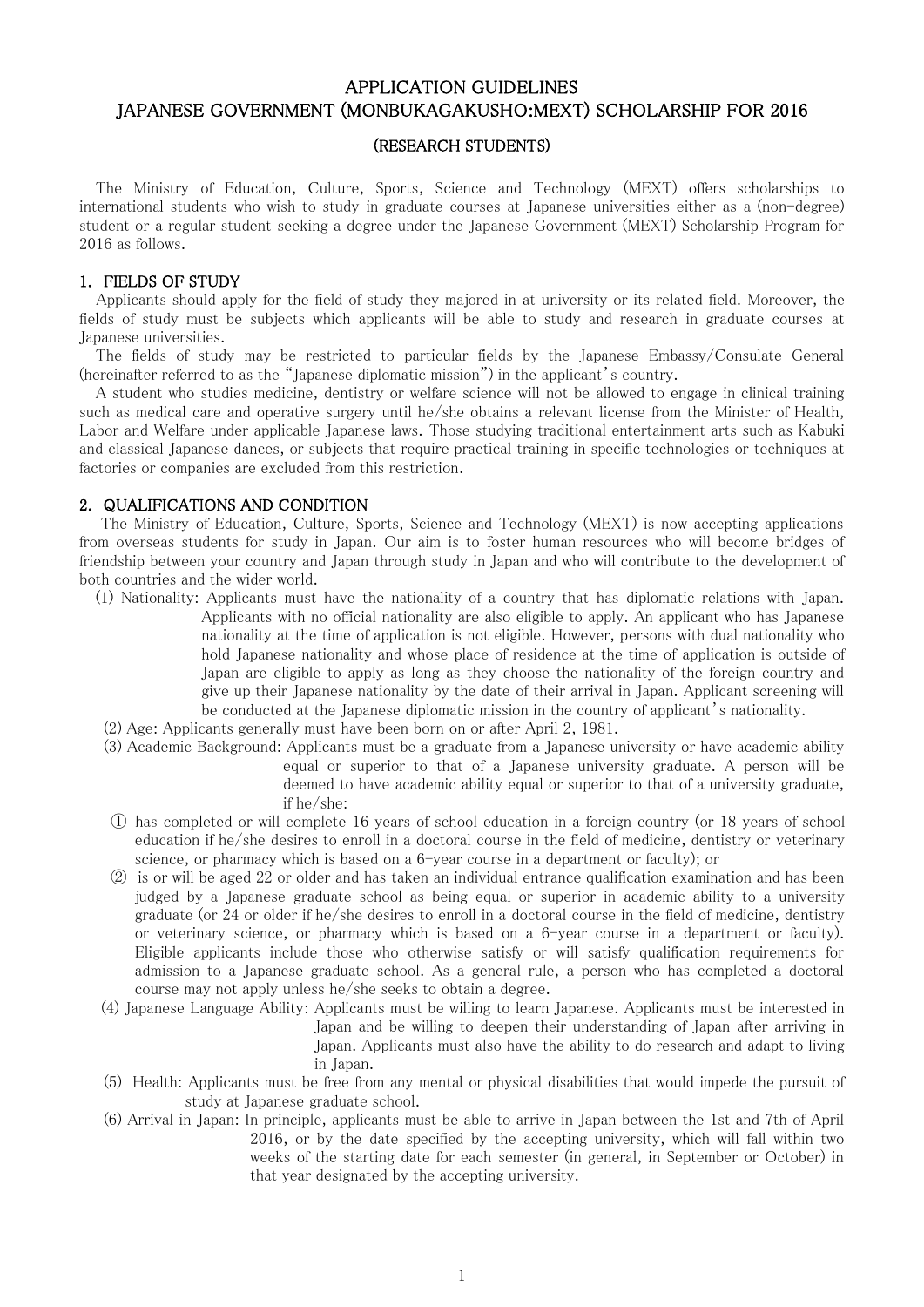# APPLICATION GUIDELINES JAPANESE GOVERNMENT (MONBUKAGAKUSHO:MEXT) SCHOLARSHIP FOR 2016

#### (RESEARCH STUDENTS)

The Ministry of Education, Culture, Sports, Science and Technology (MEXT) offers scholarships to international students who wish to study in graduate courses at Japanese universities either as a (non-degree) student or a regular student seeking a degree under the Japanese Government (MEXT) Scholarship Program for 2016 as follows.

#### 1. FIELDS OF STUDY

 Applicants should apply for the field of study they majored in at university or its related field. Moreover, the fields of study must be subjects which applicants will be able to study and research in graduate courses at Japanese universities.

The fields of study may be restricted to particular fields by the Japanese Embassy/Consulate General (hereinafter referred to as the "Japanese diplomatic mission") in the applicant's country.

 A student who studies medicine, dentistry or welfare science will not be allowed to engage in clinical training such as medical care and operative surgery until he/she obtains a relevant license from the Minister of Health, Labor and Welfare under applicable Japanese laws. Those studying traditional entertainment arts such as Kabuki and classical Japanese dances, or subjects that require practical training in specific technologies or techniques at factories or companies are excluded from this restriction.

#### 2. QUALIFICATIONS AND CONDITION

 The Ministry of Education, Culture, Sports, Science and Technology (MEXT) is now accepting applications from overseas students for study in Japan. Our aim is to foster human resources who will become bridges of friendship between your country and Japan through study in Japan and who will contribute to the development of both countries and the wider world.

- (1) Nationality: Applicants must have the nationality of a country that has diplomatic relations with Japan. Applicants with no official nationality are also eligible to apply. An applicant who has Japanese nationality at the time of application is not eligible. However, persons with dual nationality who hold Japanese nationality and whose place of residence at the time of application is outside of Japan are eligible to apply as long as they choose the nationality of the foreign country and give up their Japanese nationality by the date of their arrival in Japan. Applicant screening will be conducted at the Japanese diplomatic mission in the country of applicant's nationality.
- (2) Age: Applicants generally must have been born on or after April 2, 1981.
- (3) Academic Background: Applicants must be a graduate from a Japanese university or have academic ability equal or superior to that of a Japanese university graduate. A person will be deemed to have academic ability equal or superior to that of a university graduate, if he/she:
- ① has completed or will complete 16 years of school education in a foreign country (or 18 years of school education if he/she desires to enroll in a doctoral course in the field of medicine, dentistry or veterinary science, or pharmacy which is based on a 6-year course in a department or faculty); or
- ② is or will be aged 22 or older and has taken an individual entrance qualification examination and has been judged by a Japanese graduate school as being equal or superior in academic ability to a university graduate (or 24 or older if he/she desires to enroll in a doctoral course in the field of medicine, dentistry or veterinary science, or pharmacy which is based on a 6-year course in a department or faculty). Eligible applicants include those who otherwise satisfy or will satisfy qualification requirements for admission to a Japanese graduate school. As a general rule, a person who has completed a doctoral course may not apply unless he/she seeks to obtain a degree.
- (4) Japanese Language Ability: Applicants must be willing to learn Japanese. Applicants must be interested in Japan and be willing to deepen their understanding of Japan after arriving in Japan. Applicants must also have the ability to do research and adapt to living in Japan.
- (5) Health: Applicants must be free from any mental or physical disabilities that would impede the pursuit of study at Japanese graduate school.
- (6) Arrival in Japan: In principle, applicants must be able to arrive in Japan between the 1st and 7th of April 2016, or by the date specified by the accepting university, which will fall within two weeks of the starting date for each semester (in general, in September or October) in that year designated by the accepting university.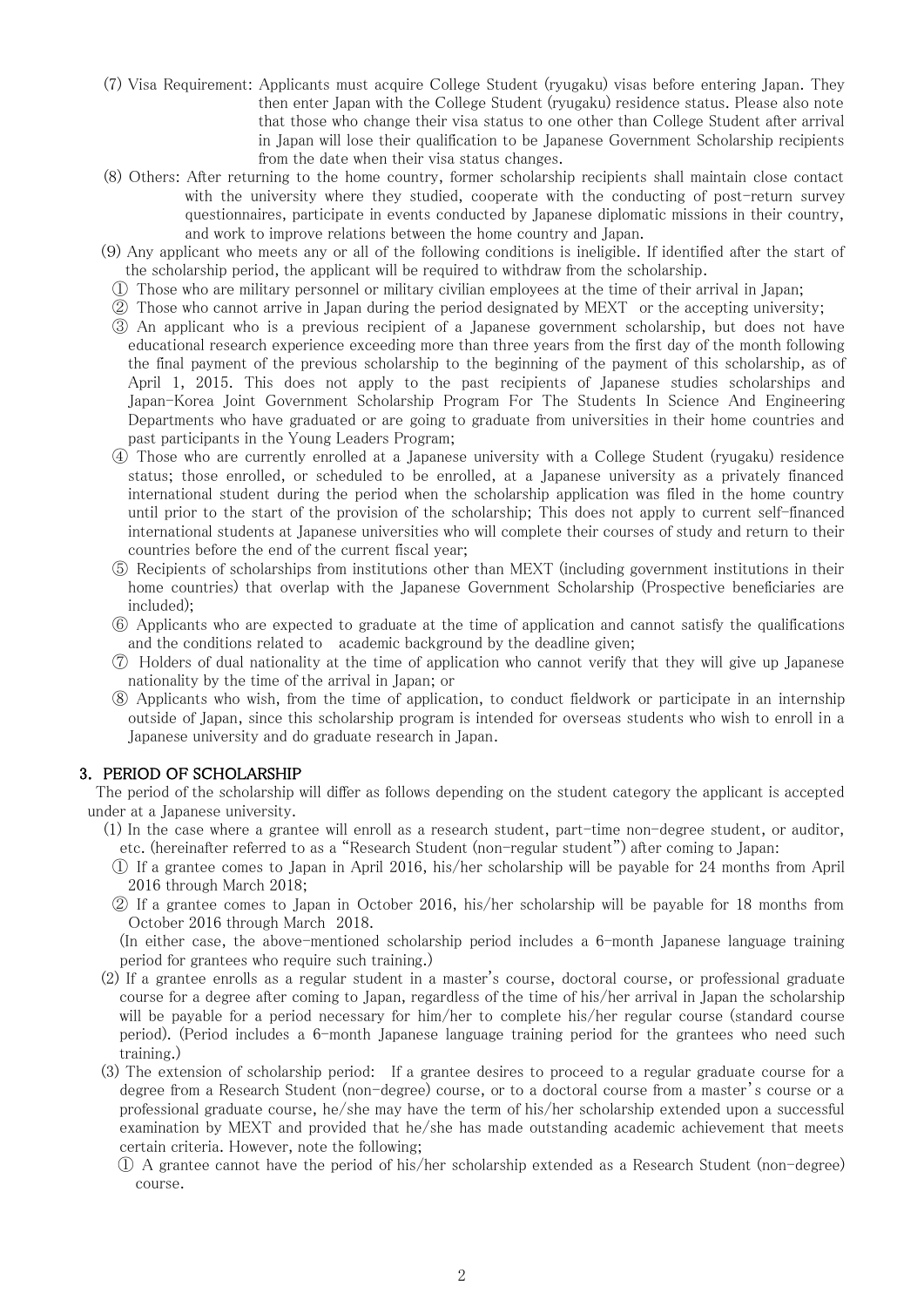- (7) Visa Requirement: Applicants must acquire College Student (ryugaku) visas before entering Japan. They then enter Japan with the College Student (ryugaku) residence status. Please also note that those who change their visa status to one other than College Student after arrival in Japan will lose their qualification to be Japanese Government Scholarship recipients from the date when their visa status changes.
- (8) Others: After returning to the home country, former scholarship recipients shall maintain close contact with the university where they studied, cooperate with the conducting of post-return survey questionnaires, participate in events conducted by Japanese diplomatic missions in their country, and work to improve relations between the home country and Japan.
- (9) Any applicant who meets any or all of the following conditions is ineligible. If identified after the start of the scholarship period, the applicant will be required to withdraw from the scholarship.
- ① Those who are military personnel or military civilian employees at the time of their arrival in Japan;
- ② Those who cannot arrive in Japan during the period designated by MEXT or the accepting university;
- ③ An applicant who is a previous recipient of a Japanese government scholarship, but does not have educational research experience exceeding more than three years from the first day of the month following the final payment of the previous scholarship to the beginning of the payment of this scholarship, as of April 1, 2015. This does not apply to the past recipients of Japanese studies scholarships and Japan-Korea Joint Government Scholarship Program For The Students In Science And Engineering Departments who have graduated or are going to graduate from universities in their home countries and past participants in the Young Leaders Program;
- ④ Those who are currently enrolled at a Japanese university with a College Student (ryugaku) residence status; those enrolled, or scheduled to be enrolled, at a Japanese university as a privately financed international student during the period when the scholarship application was filed in the home country until prior to the start of the provision of the scholarship; This does not apply to current self-financed international students at Japanese universities who will complete their courses of study and return to their countries before the end of the current fiscal year;
- ⑤ Recipients of scholarships from institutions other than MEXT (including government institutions in their home countries) that overlap with the Japanese Government Scholarship (Prospective beneficiaries are included);
- ⑥ Applicants who are expected to graduate at the time of application and cannot satisfy the qualifications and the conditions related to academic background by the deadline given;
- ⑦ Holders of dual nationality at the time of application who cannot verify that they will give up Japanese nationality by the time of the arrival in Japan; or
- ⑧ Applicants who wish, from the time of application, to conduct fieldwork or participate in an internship outside of Japan, since this scholarship program is intended for overseas students who wish to enroll in a Japanese university and do graduate research in Japan.

### 3. PERIOD OF SCHOLARSHIP

The period of the scholarship will differ as follows depending on the student category the applicant is accepted under at a Japanese university.

- (1) In the case where a grantee will enroll as a research student, part-time non-degree student, or auditor, etc. (hereinafter referred to as a "Research Student (non-regular student") after coming to Japan:
- ① If a grantee comes to Japan in April 2016, his/her scholarship will be payable for 24 months from April 2016 through March 2018;
- ② If a grantee comes to Japan in October 2016, his/her scholarship will be payable for 18 months from October 2016 through March 2018.

(In either case, the above-mentioned scholarship period includes a 6-month Japanese language training period for grantees who require such training.)

- (2) If a grantee enrolls as a regular student in a master's course, doctoral course, or professional graduate course for a degree after coming to Japan, regardless of the time of his/her arrival in Japan the scholarship will be payable for a period necessary for him/her to complete his/her regular course (standard course period). (Period includes a 6-month Japanese language training period for the grantees who need such training.)
- (3) The extension of scholarship period: If a grantee desires to proceed to a regular graduate course for a degree from a Research Student (non-degree) course, or to a doctoral course from a master's course or a professional graduate course, he/she may have the term of his/her scholarship extended upon a successful examination by MEXT and provided that he/she has made outstanding academic achievement that meets certain criteria. However, note the following;
	- ① A grantee cannot have the period of his/her scholarship extended as a Research Student (non-degree) course.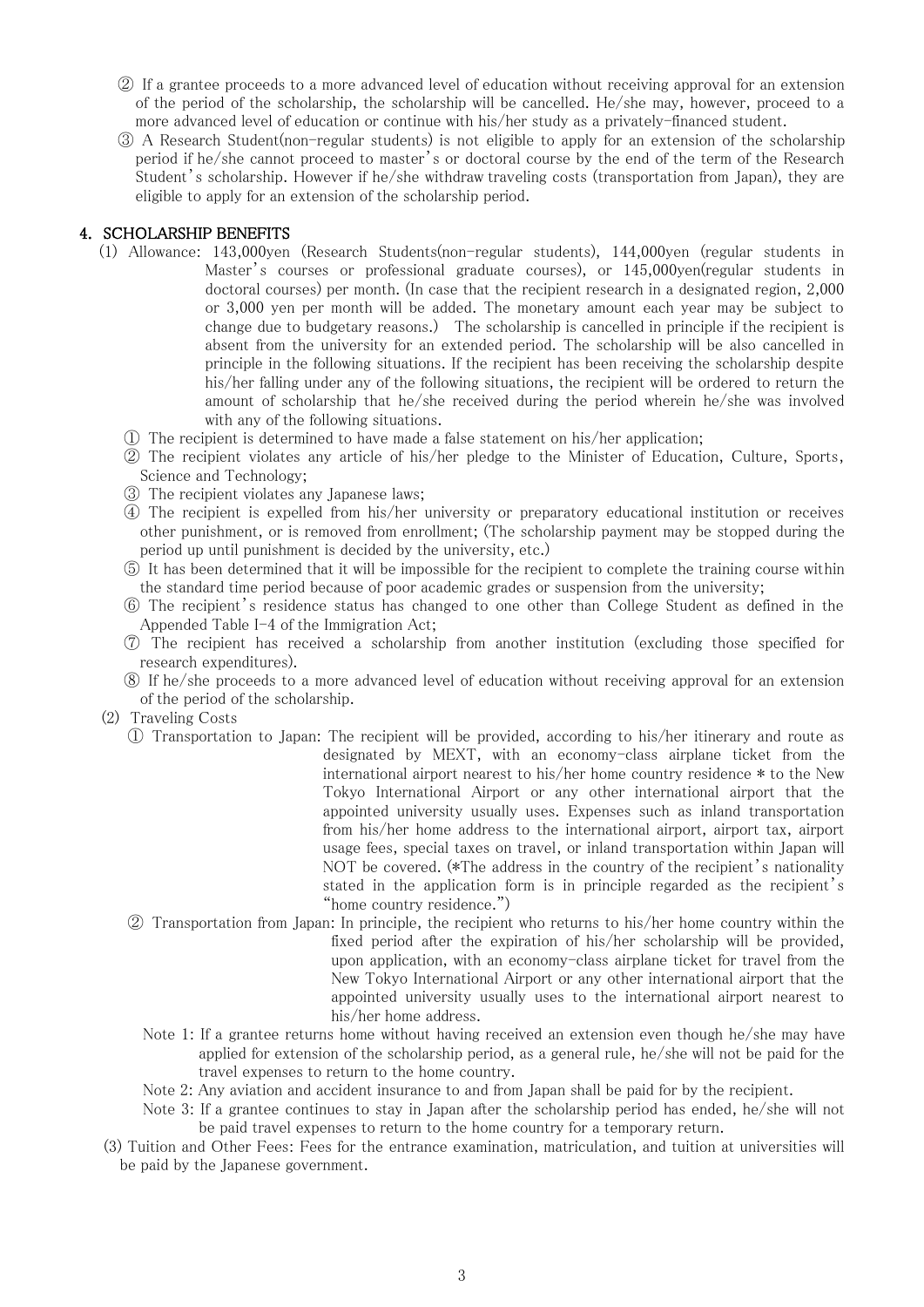- ② If a grantee proceeds to a more advanced level of education without receiving approval for an extension of the period of the scholarship, the scholarship will be cancelled. He/she may, however, proceed to a more advanced level of education or continue with his/her study as a privately-financed student.
- ③ A Research Student(non-regular students) is not eligible to apply for an extension of the scholarship period if he/she cannot proceed to master's or doctoral course by the end of the term of the Research Student's scholarship. However if he/she withdraw traveling costs (transportation from Japan), they are eligible to apply for an extension of the scholarship period.

# 4. SCHOLARSHIP BENEFITS

- (1) Allowance: 143,000yen (Research Students(non-regular students), 144,000yen (regular students in Master's courses or professional graduate courses), or 145,000yen(regular students in doctoral courses) per month. (In case that the recipient research in a designated region, 2,000 or 3,000 yen per month will be added. The monetary amount each year may be subject to change due to budgetary reasons.) The scholarship is cancelled in principle if the recipient is absent from the university for an extended period. The scholarship will be also cancelled in principle in the following situations. If the recipient has been receiving the scholarship despite his/her falling under any of the following situations, the recipient will be ordered to return the amount of scholarship that he/she received during the period wherein he/she was involved with any of the following situations.
	- ① The recipient is determined to have made a false statement on his/her application;
	- ② The recipient violates any article of his/her pledge to the Minister of Education, Culture, Sports, Science and Technology;
	- ③ The recipient violates any Japanese laws;
	- ④ The recipient is expelled from his/her university or preparatory educational institution or receives other punishment, or is removed from enrollment; (The scholarship payment may be stopped during the period up until punishment is decided by the university, etc.)
	- ⑤ It has been determined that it will be impossible for the recipient to complete the training course within the standard time period because of poor academic grades or suspension from the university;
	- ⑥ The recipient's residence status has changed to one other than College Student as defined in the Appended Table I-4 of the Immigration Act;
	- ⑦ The recipient has received a scholarship from another institution (excluding those specified for research expenditures).
	- ⑧ If he/she proceeds to a more advanced level of education without receiving approval for an extension of the period of the scholarship.
- (2) Traveling Costs
	- ① Transportation to Japan: The recipient will be provided, according to his/her itinerary and route as designated by MEXT, with an economy-class airplane ticket from the international airport nearest to his/her home country residence \* to the New Tokyo International Airport or any other international airport that the appointed university usually uses. Expenses such as inland transportation from his/her home address to the international airport, airport tax, airport usage fees, special taxes on travel, or inland transportation within Japan will NOT be covered. (\*The address in the country of the recipient's nationality stated in the application form is in principle regarded as the recipient's "home country residence.")
	- ② Transportation from Japan: In principle, the recipient who returns to his/her home country within the fixed period after the expiration of his/her scholarship will be provided, upon application, with an economy-class airplane ticket for travel from the New Tokyo International Airport or any other international airport that the appointed university usually uses to the international airport nearest to his/her home address.
		- Note 1: If a grantee returns home without having received an extension even though he/she may have applied for extension of the scholarship period, as a general rule, he/she will not be paid for the travel expenses to return to the home country.
		- Note 2: Any aviation and accident insurance to and from Japan shall be paid for by the recipient.
		- Note 3: If a grantee continues to stay in Japan after the scholarship period has ended, he/she will not be paid travel expenses to return to the home country for a temporary return.
- (3) Tuition and Other Fees: Fees for the entrance examination, matriculation, and tuition at universities will be paid by the Japanese government.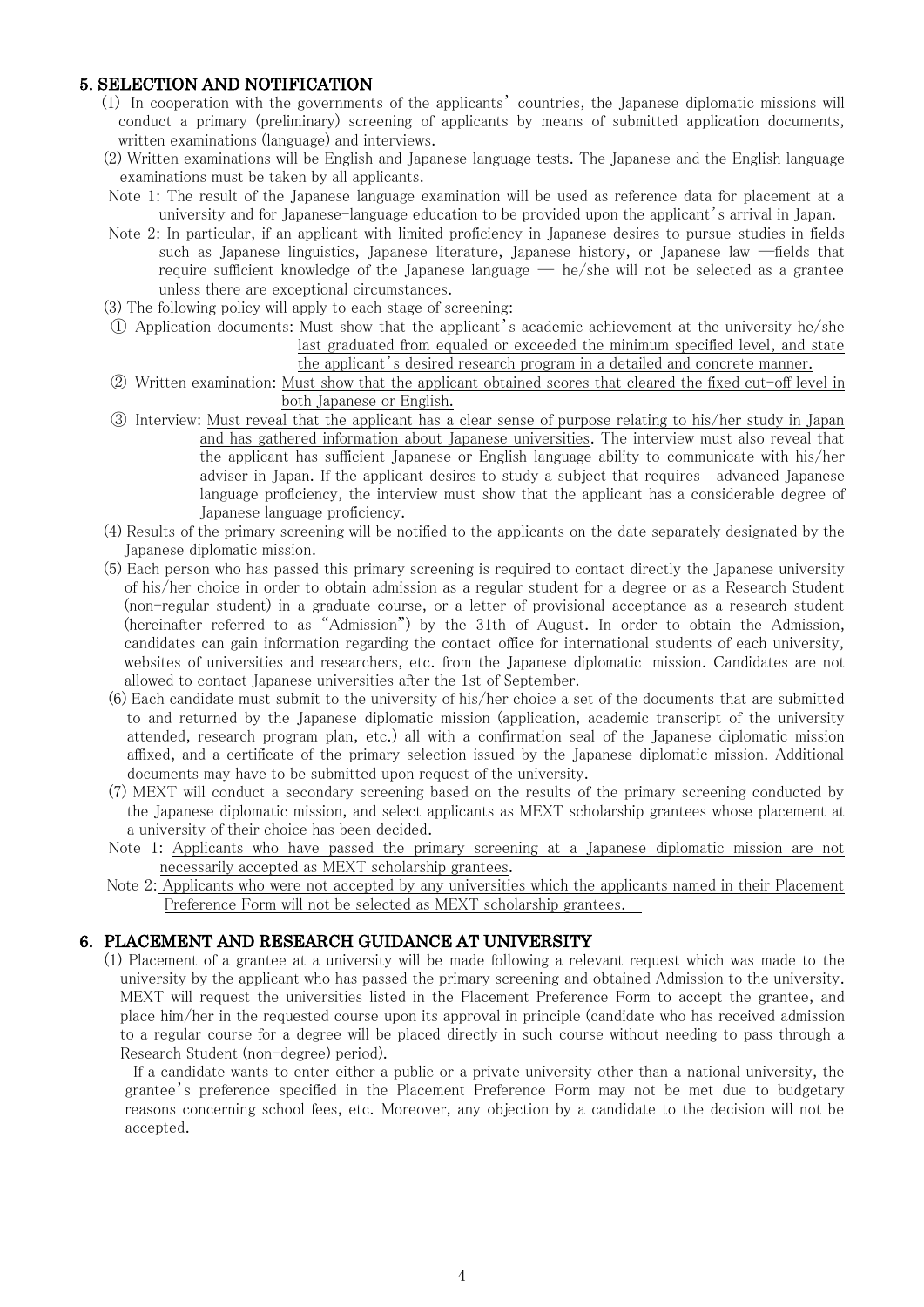# 5. SELECTION AND NOTIFICATION

- (1) In cooperation with the governments of the applicants' countries, the Japanese diplomatic missions will conduct a primary (preliminary) screening of applicants by means of submitted application documents, written examinations (language) and interviews.
- (2) Written examinations will be English and Japanese language tests. The Japanese and the English language examinations must be taken by all applicants.
- Note 1: The result of the Japanese language examination will be used as reference data for placement at a university and for Japanese-language education to be provided upon the applicant's arrival in Japan.
- Note 2: In particular, if an applicant with limited proficiency in Japanese desires to pursue studies in fields such as Japanese linguistics, Japanese literature, Japanese history, or Japanese law ―fields that require sufficient knowledge of the Japanese language — he/she will not be selected as a grantee unless there are exceptional circumstances.
- (3) The following policy will apply to each stage of screening:
- ① Application documents: Must show that the applicant's academic achievement at the university he/she last graduated from equaled or exceeded the minimum specified level, and state the applicant's desired research program in a detailed and concrete manner.
- ② Written examination: Must show that the applicant obtained scores that cleared the fixed cut-off level in both Japanese or English.
- ③ Interview: Must reveal that the applicant has a clear sense of purpose relating to his/her study in Japan and has gathered information about Japanese universities. The interview must also reveal that the applicant has sufficient Japanese or English language ability to communicate with his/her adviser in Japan. If the applicant desires to study a subject that requires advanced Japanese language proficiency, the interview must show that the applicant has a considerable degree of Japanese language proficiency.
- (4) Results of the primary screening will be notified to the applicants on the date separately designated by the Japanese diplomatic mission.
- (5) Each person who has passed this primary screening is required to contact directly the Japanese university of his/her choice in order to obtain admission as a regular student for a degree or as a Research Student (non-regular student) in a graduate course, or a letter of provisional acceptance as a research student (hereinafter referred to as "Admission") by the 31th of August. In order to obtain the Admission, candidates can gain information regarding the contact office for international students of each university, websites of universities and researchers, etc. from the Japanese diplomatic mission. Candidates are not allowed to contact Japanese universities after the 1st of September.
- (6) Each candidate must submit to the university of his/her choice a set of the documents that are submitted to and returned by the Japanese diplomatic mission (application, academic transcript of the university attended, research program plan, etc.) all with a confirmation seal of the Japanese diplomatic mission affixed, and a certificate of the primary selection issued by the Japanese diplomatic mission. Additional documents may have to be submitted upon request of the university.
- (7) MEXT will conduct a secondary screening based on the results of the primary screening conducted by the Japanese diplomatic mission, and select applicants as MEXT scholarship grantees whose placement at a university of their choice has been decided.
- Note 1: Applicants who have passed the primary screening at a Japanese diplomatic mission are not necessarily accepted as MEXT scholarship grantees.
- Note 2: Applicants who were not accepted by any universities which the applicants named in their Placement Preference Form will not be selected as MEXT scholarship grantees.

### 6. PLACEMENT AND RESEARCH GUIDANCE AT UNIVERSITY

 (1) Placement of a grantee at a university will be made following a relevant request which was made to the university by the applicant who has passed the primary screening and obtained Admission to the university. MEXT will request the universities listed in the Placement Preference Form to accept the grantee, and place him/her in the requested course upon its approval in principle (candidate who has received admission to a regular course for a degree will be placed directly in such course without needing to pass through a Research Student (non-degree) period).

If a candidate wants to enter either a public or a private university other than a national university, the grantee's preference specified in the Placement Preference Form may not be met due to budgetary reasons concerning school fees, etc. Moreover, any objection by a candidate to the decision will not be accepted.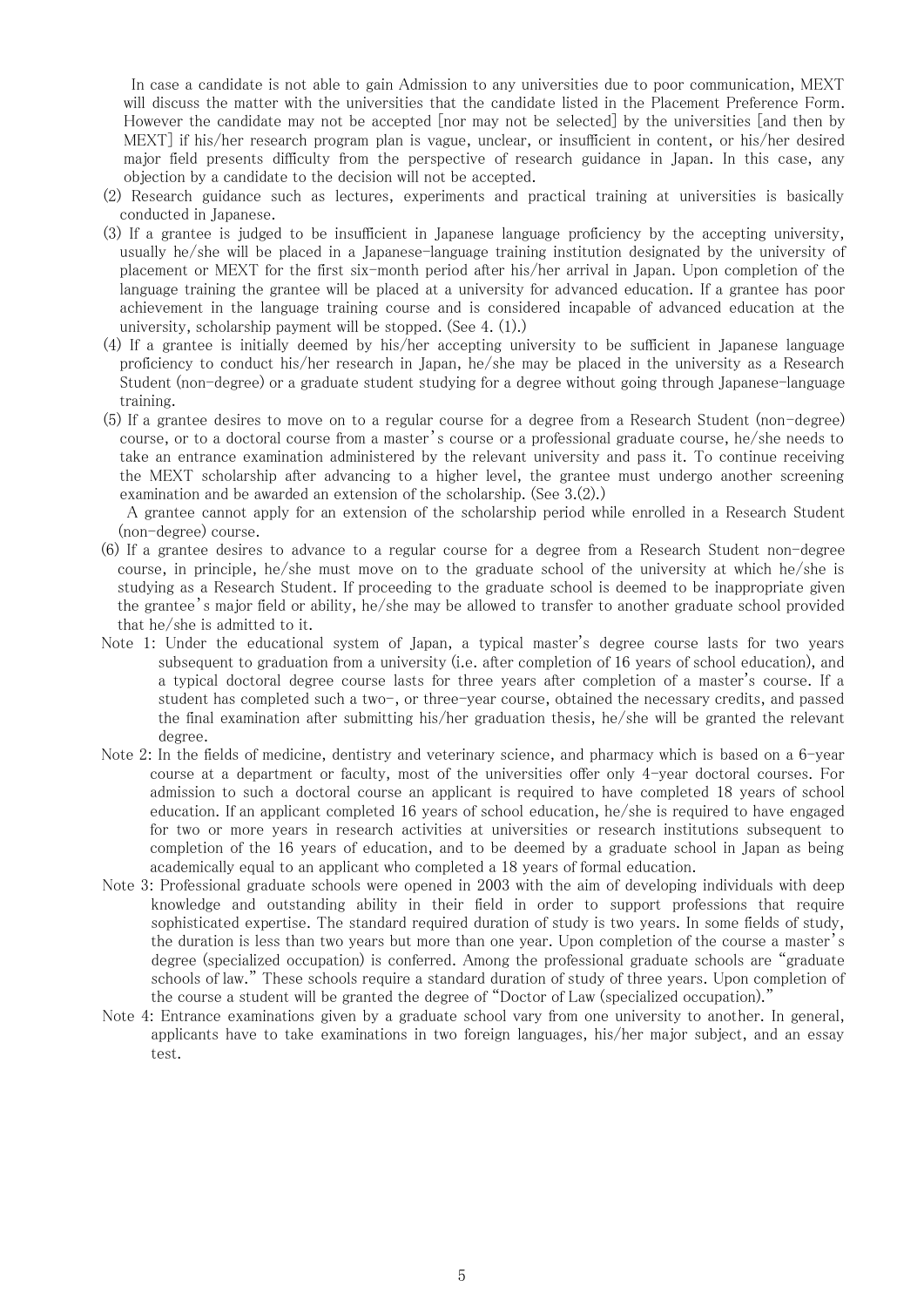In case a candidate is not able to gain Admission to any universities due to poor communication, MEXT will discuss the matter with the universities that the candidate listed in the Placement Preference Form. However the candidate may not be accepted [nor may not be selected] by the universities [and then by MEXT] if his/her research program plan is vague, unclear, or insufficient in content, or his/her desired major field presents difficulty from the perspective of research guidance in Japan. In this case, any objection by a candidate to the decision will not be accepted.

- (2) Research guidance such as lectures, experiments and practical training at universities is basically conducted in Japanese.
- (3) If a grantee is judged to be insufficient in Japanese language proficiency by the accepting university, usually he/she will be placed in a Japanese-language training institution designated by the university of placement or MEXT for the first six-month period after his/her arrival in Japan. Upon completion of the language training the grantee will be placed at a university for advanced education. If a grantee has poor achievement in the language training course and is considered incapable of advanced education at the university, scholarship payment will be stopped. (See 4. (1).)
- (4) If a grantee is initially deemed by his/her accepting university to be sufficient in Japanese language proficiency to conduct his/her research in Japan, he/she may be placed in the university as a Research Student (non-degree) or a graduate student studying for a degree without going through Japanese-language training.
- (5) If a grantee desires to move on to a regular course for a degree from a Research Student (non-degree) course, or to a doctoral course from a master's course or a professional graduate course, he/she needs to take an entrance examination administered by the relevant university and pass it. To continue receiving the MEXT scholarship after advancing to a higher level, the grantee must undergo another screening examination and be awarded an extension of the scholarship. (See 3.(2).)

A grantee cannot apply for an extension of the scholarship period while enrolled in a Research Student (non-degree) course.

- (6) If a grantee desires to advance to a regular course for a degree from a Research Student non-degree course, in principle, he/she must move on to the graduate school of the university at which he/she is studying as a Research Student. If proceeding to the graduate school is deemed to be inappropriate given the grantee's major field or ability, he/she may be allowed to transfer to another graduate school provided that he/she is admitted to it.
- Note 1: Under the educational system of Japan, a typical master's degree course lasts for two years subsequent to graduation from a university (i.e. after completion of 16 years of school education), and a typical doctoral degree course lasts for three years after completion of a master's course. If a student has completed such a two-, or three-year course, obtained the necessary credits, and passed the final examination after submitting his/her graduation thesis, he/she will be granted the relevant degree.
- Note 2: In the fields of medicine, dentistry and veterinary science, and pharmacy which is based on a 6-year course at a department or faculty, most of the universities offer only 4-year doctoral courses. For admission to such a doctoral course an applicant is required to have completed 18 years of school education. If an applicant completed 16 years of school education, he/she is required to have engaged for two or more years in research activities at universities or research institutions subsequent to completion of the 16 years of education, and to be deemed by a graduate school in Japan as being academically equal to an applicant who completed a 18 years of formal education.
- Note 3: Professional graduate schools were opened in 2003 with the aim of developing individuals with deep knowledge and outstanding ability in their field in order to support professions that require sophisticated expertise. The standard required duration of study is two years. In some fields of study, the duration is less than two years but more than one year. Upon completion of the course a master's degree (specialized occupation) is conferred. Among the professional graduate schools are "graduate schools of law." These schools require a standard duration of study of three years. Upon completion of the course a student will be granted the degree of "Doctor of Law (specialized occupation)."
- Note 4: Entrance examinations given by a graduate school vary from one university to another. In general, applicants have to take examinations in two foreign languages, his/her major subject, and an essay test.